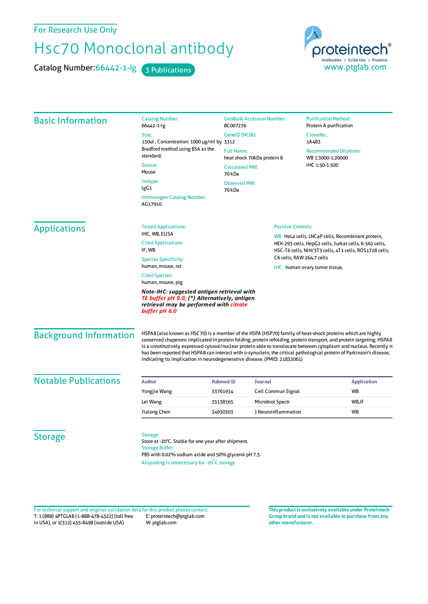For Research Use Only

## Hsc70 Monoclonal antibody

Catalog Number: 66442-1-Ig 3 Publications



| <b>Basic Information</b>      | <b>Catalog Number:</b><br>66442-1-lg                                                                                                                                                                                                                                                                                                                                                                                                                                                                                                                              | <b>GenBank Accession Number:</b><br>BC007276    |                                                                                                                                                                                                    | <b>Purification Method:</b><br>Protein A purification |                    |
|-------------------------------|-------------------------------------------------------------------------------------------------------------------------------------------------------------------------------------------------------------------------------------------------------------------------------------------------------------------------------------------------------------------------------------------------------------------------------------------------------------------------------------------------------------------------------------------------------------------|-------------------------------------------------|----------------------------------------------------------------------------------------------------------------------------------------------------------------------------------------------------|-------------------------------------------------------|--------------------|
|                               | Size:                                                                                                                                                                                                                                                                                                                                                                                                                                                                                                                                                             | GenelD (NCBI):                                  |                                                                                                                                                                                                    | CloneNo.:                                             |                    |
|                               | 150ul, Concentration: 1000 µg/ml by 3312                                                                                                                                                                                                                                                                                                                                                                                                                                                                                                                          |                                                 |                                                                                                                                                                                                    | 1A4B3                                                 |                    |
|                               | Bradford method using BSA as the<br>standard;                                                                                                                                                                                                                                                                                                                                                                                                                                                                                                                     | <b>Full Name:</b><br>heat shock 70kDa protein 8 |                                                                                                                                                                                                    | <b>Recommended Dilutions:</b><br>WB 1:3000-1:20000    |                    |
|                               | Source:                                                                                                                                                                                                                                                                                                                                                                                                                                                                                                                                                           | <b>Calculated MW:</b>                           |                                                                                                                                                                                                    | IHC 1:50-1:500                                        |                    |
|                               | Mouse                                                                                                                                                                                                                                                                                                                                                                                                                                                                                                                                                             | 70 kDa                                          |                                                                                                                                                                                                    |                                                       |                    |
|                               | Isotype:                                                                                                                                                                                                                                                                                                                                                                                                                                                                                                                                                          | <b>Observed MW:</b><br>lgG1                     |                                                                                                                                                                                                    |                                                       |                    |
|                               | 70 kDa<br>Immunogen Catalog Number:<br>AG17910                                                                                                                                                                                                                                                                                                                                                                                                                                                                                                                    |                                                 |                                                                                                                                                                                                    |                                                       |                    |
| <b>Applications</b>           | <b>Tested Applications:</b>                                                                                                                                                                                                                                                                                                                                                                                                                                                                                                                                       | <b>Positive Controls:</b>                       |                                                                                                                                                                                                    |                                                       |                    |
|                               | IHC, WB, ELISA                                                                                                                                                                                                                                                                                                                                                                                                                                                                                                                                                    |                                                 | WB: HeLa cells, LNCaP cells, Recombinant protein,<br>HEK-293 cells, HepG2 cells, Jurkat cells, K-562 cells,<br>HSC-T6 cells, NIH/3T3 cells, 4T1 cells, ROS1728 cells,<br>C6 cells, RAW 264.7 cells |                                                       |                    |
|                               | <b>Cited Applications:</b><br>IF, WB                                                                                                                                                                                                                                                                                                                                                                                                                                                                                                                              |                                                 |                                                                                                                                                                                                    |                                                       |                    |
|                               | <b>Species Specificity:</b><br>human, mouse, rat                                                                                                                                                                                                                                                                                                                                                                                                                                                                                                                  |                                                 |                                                                                                                                                                                                    |                                                       |                    |
|                               | IHC: human ovary tumor tissue,<br><b>Cited Species:</b><br>human, mouse, pig                                                                                                                                                                                                                                                                                                                                                                                                                                                                                      |                                                 |                                                                                                                                                                                                    |                                                       |                    |
|                               | Note-IHC: suggested antigen retrieval with<br>TE buffer pH 9.0; (*) Alternatively, antigen<br>retrieval may be performed with citrate<br>buffer pH 6.0                                                                                                                                                                                                                                                                                                                                                                                                            |                                                 |                                                                                                                                                                                                    |                                                       |                    |
| <b>Background Information</b> | HSPA8 (also known as HSC70) is a member of the HSPA (HSP70) family of heat-shock proteins which are highly<br>conserved chaperons implicated in protein folding, protein refolding, protein transport, and protein targeting. HSPA8<br>is a constitutively expressed cytosol/nuclear protein able to translocate between cytoplasm and nucleus. Recently it<br>has been reported that HSPA8 can interact with a-synuclein, the critical pathological protein of Parkinson's disease,<br>indicating its implication in neurodegenerative disease. (PMID: 21832061) |                                                 |                                                                                                                                                                                                    |                                                       |                    |
| <b>Notable Publications</b>   | <b>Author</b>                                                                                                                                                                                                                                                                                                                                                                                                                                                                                                                                                     | <b>Pubmed ID</b>                                | <b>Journal</b>                                                                                                                                                                                     |                                                       | <b>Application</b> |
|                               | Yongjie Wang                                                                                                                                                                                                                                                                                                                                                                                                                                                                                                                                                      | 33761934                                        | Cell Commun Signal                                                                                                                                                                                 | <b>WB</b>                                             |                    |
|                               | Lei Wang                                                                                                                                                                                                                                                                                                                                                                                                                                                                                                                                                          | 35138165                                        | Microbiol Spectr                                                                                                                                                                                   |                                                       | WB,IF              |
|                               | Jialong Chen                                                                                                                                                                                                                                                                                                                                                                                                                                                                                                                                                      | 34930303                                        | J Neuroinflammation                                                                                                                                                                                | <b>WB</b>                                             |                    |
|                               |                                                                                                                                                                                                                                                                                                                                                                                                                                                                                                                                                                   |                                                 |                                                                                                                                                                                                    |                                                       |                    |
| <b>Storage</b>                | Storage:<br>Store at -20°C. Stable for one year after shipment.<br><b>Storage Buffer:</b>                                                                                                                                                                                                                                                                                                                                                                                                                                                                         |                                                 |                                                                                                                                                                                                    |                                                       |                    |
|                               | PBS with 0.02% sodium azide and 50% glycerol pH 7.3.<br>Aliquoting is unnecessary for -20°C storage                                                                                                                                                                                                                                                                                                                                                                                                                                                               |                                                 |                                                                                                                                                                                                    |                                                       |                    |

T: 1 (888) 4PTGLAB (1-888-478-4522) (toll free in USA), or 1(312) 455-8498 (outside USA) E: proteintech@ptglab.com W: ptglab.com Fortechnical support and original validation data forthis product please contact: **This productis exclusively available under Proteintech**

**Group brand and is not available to purchase from any other manufacturer.**